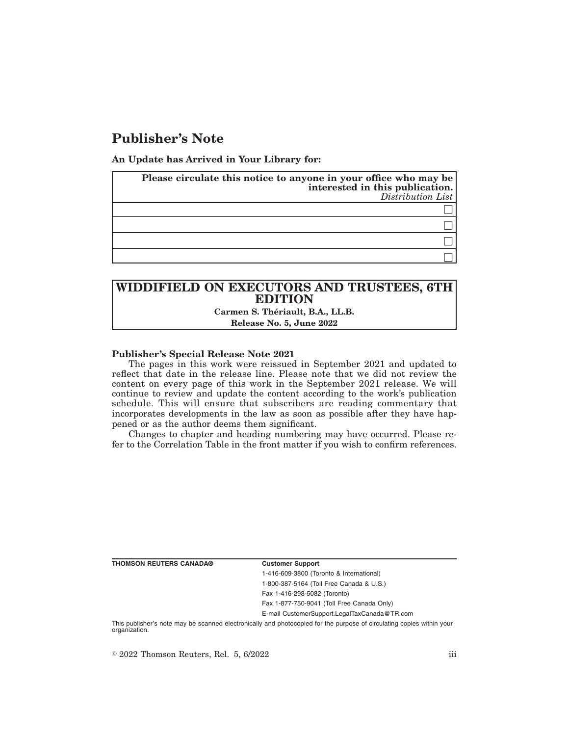# **Publisher's Note**

**An Update has Arrived in Your Library for:**

| Please circulate this notice to anyone in your office who may be<br>interested in this publication.<br>$Distribution$ List |
|----------------------------------------------------------------------------------------------------------------------------|
|                                                                                                                            |
|                                                                                                                            |
|                                                                                                                            |
|                                                                                                                            |

## **WIDDIFIELD ON EXECUTORS AND TRUSTEES, 6TH EDITION Carmen S. Thériault, B.A., LL.B. Release No. 5, June 2022**

### **Publisher's Special Release Note 2021**

The pages in this work were reissued in September 2021 and updated to reflect that date in the release line. Please note that we did not review the content on every page of this work in the September 2021 release. We will continue to review and update the content according to the work's publication schedule. This will ensure that subscribers are reading commentary that incorporates developments in the law as soon as possible after they have happened or as the author deems them significant.

Changes to chapter and heading numbering may have occurred. Please refer to the Correlation Table in the front matter if you wish to confirm references.

**THOMSON REUTERS CANADA® Customer Support**

1-416-609-3800 (Toronto & International) 1-800-387-5164 (Toll Free Canada & U.S.) Fax 1-416-298-5082 (Toronto)

Fax 1-877-750-9041 (Toll Free Canada Only)

E-mail CustomerSupport.LegalTaxCanada@TR.com

This publisher's note may be scanned electronically and photocopied for the purpose of circulating copies within your organization.

 $\degree$  2022 Thomson Reuters, Rel. 5, 6/2022 iii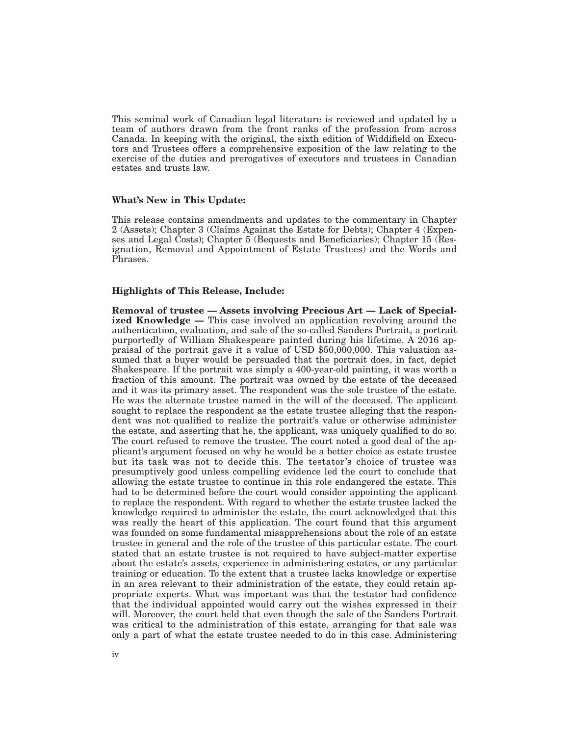This seminal work of Canadian legal literature is reviewed and updated by a team of authors drawn from the front ranks of the profession from across Canada. In keeping with the original, the sixth edition of Widdifield on Executors and Trustees offers a comprehensive exposition of the law relating to the exercise of the duties and prerogatives of executors and trustees in Canadian estates and trusts law.

### **What's New in This Update:**

This release contains amendments and updates to the commentary in Chapter 2 (Assets); Chapter 3 (Claims Against the Estate for Debts); Chapter 4 (Expenses and Legal Costs); Chapter 5 (Bequests and Beneficiaries); Chapter 15 (Resignation, Removal and Appointment of Estate Trustees) and the Words and Phrases.

### **Highlights of This Release, Include:**

**Removal of trustee — Assets involving Precious Art — Lack of Specialized Knowledge —** This case involved an application revolving around the authentication, evaluation, and sale of the so-called Sanders Portrait, a portrait purportedly of William Shakespeare painted during his lifetime. A 2016 appraisal of the portrait gave it a value of USD \$50,000,000. This valuation assumed that a buyer would be persuaded that the portrait does, in fact, depict Shakespeare. If the portrait was simply a 400-year-old painting, it was worth a fraction of this amount. The portrait was owned by the estate of the deceased and it was its primary asset. The respondent was the sole trustee of the estate. He was the alternate trustee named in the will of the deceased. The applicant sought to replace the respondent as the estate trustee alleging that the respondent was not qualified to realize the portrait's value or otherwise administer the estate, and asserting that he, the applicant, was uniquely qualified to do so. The court refused to remove the trustee. The court noted a good deal of the applicant's argument focused on why he would be a better choice as estate trustee but its task was not to decide this. The testator's choice of trustee was presumptively good unless compelling evidence led the court to conclude that allowing the estate trustee to continue in this role endangered the estate. This had to be determined before the court would consider appointing the applicant to replace the respondent. With regard to whether the estate trustee lacked the knowledge required to administer the estate, the court acknowledged that this was really the heart of this application. The court found that this argument was founded on some fundamental misapprehensions about the role of an estate trustee in general and the role of the trustee of this particular estate. The court stated that an estate trustee is not required to have subject-matter expertise about the estate's assets, experience in administering estates, or any particular training or education. To the extent that a trustee lacks knowledge or expertise in an area relevant to their administration of the estate, they could retain appropriate experts. What was important was that the testator had confidence that the individual appointed would carry out the wishes expressed in their will. Moreover, the court held that even though the sale of the Sanders Portrait was critical to the administration of this estate, arranging for that sale was only a part of what the estate trustee needed to do in this case. Administering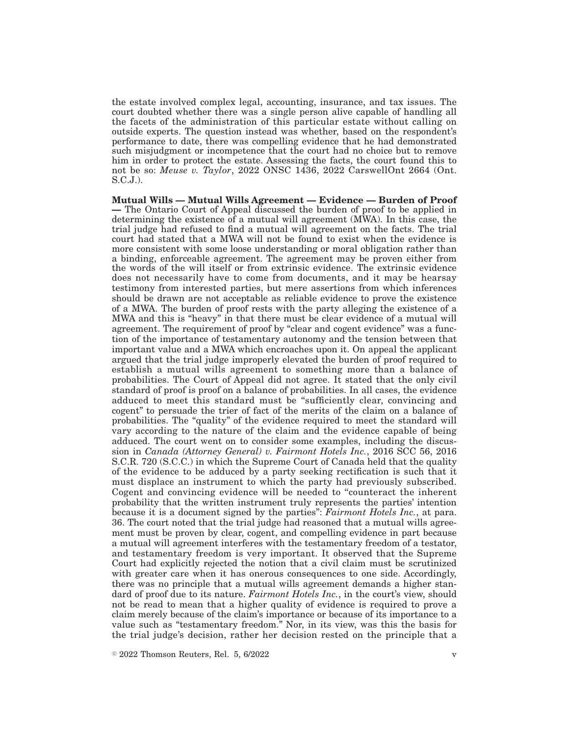the estate involved complex legal, accounting, insurance, and tax issues. The court doubted whether there was a single person alive capable of handling all the facets of the administration of this particular estate without calling on outside experts. The question instead was whether, based on the respondent's performance to date, there was compelling evidence that he had demonstrated such misjudgment or incompetence that the court had no choice but to remove him in order to protect the estate. Assessing the facts, the court found this to not be so: *Meuse v. Taylor*, 2022 ONSC 1436, 2022 CarswellOnt 2664 (Ont. S.C.J.).

**Mutual Wills — Mutual Wills Agreement — Evidence — Burden of Proof —** The Ontario Court of Appeal discussed the burden of proof to be applied in determining the existence of a mutual will agreement (MWA). In this case, the trial judge had refused to find a mutual will agreement on the facts. The trial court had stated that a MWA will not be found to exist when the evidence is more consistent with some loose understanding or moral obligation rather than a binding, enforceable agreement. The agreement may be proven either from the words of the will itself or from extrinsic evidence. The extrinsic evidence does not necessarily have to come from documents, and it may be hearsay testimony from interested parties, but mere assertions from which inferences should be drawn are not acceptable as reliable evidence to prove the existence of a MWA. The burden of proof rests with the party alleging the existence of a MWA and this is "heavy" in that there must be clear evidence of a mutual will agreement. The requirement of proof by "clear and cogent evidence" was a function of the importance of testamentary autonomy and the tension between that important value and a MWA which encroaches upon it. On appeal the applicant argued that the trial judge improperly elevated the burden of proof required to establish a mutual wills agreement to something more than a balance of probabilities. The Court of Appeal did not agree. It stated that the only civil standard of proof is proof on a balance of probabilities. In all cases, the evidence adduced to meet this standard must be ''sufficiently clear, convincing and cogent'' to persuade the trier of fact of the merits of the claim on a balance of probabilities. The "quality" of the evidence required to meet the standard will vary according to the nature of the claim and the evidence capable of being adduced. The court went on to consider some examples, including the discussion in *Canada (Attorney General) v. Fairmont Hotels Inc.*, 2016 SCC 56, 2016 S.C.R. 720 (S.C.C.) in which the Supreme Court of Canada held that the quality of the evidence to be adduced by a party seeking rectification is such that it must displace an instrument to which the party had previously subscribed. Cogent and convincing evidence will be needed to ''counteract the inherent probability that the written instrument truly represents the parties' intention because it is a document signed by the parties'': *Fairmont Hotels Inc.*, at para. 36. The court noted that the trial judge had reasoned that a mutual wills agreement must be proven by clear, cogent, and compelling evidence in part because a mutual will agreement interferes with the testamentary freedom of a testator, and testamentary freedom is very important. It observed that the Supreme Court had explicitly rejected the notion that a civil claim must be scrutinized with greater care when it has onerous consequences to one side. Accordingly, there was no principle that a mutual wills agreement demands a higher standard of proof due to its nature. *Fairmont Hotels Inc.*, in the court's view, should not be read to mean that a higher quality of evidence is required to prove a claim merely because of the claim's importance or because of its importance to a value such as ''testamentary freedom.'' Nor, in its view, was this the basis for the trial judge's decision, rather her decision rested on the principle that a

 $\degree$  2022 Thomson Reuters, Rel. 5, 6/2022 v